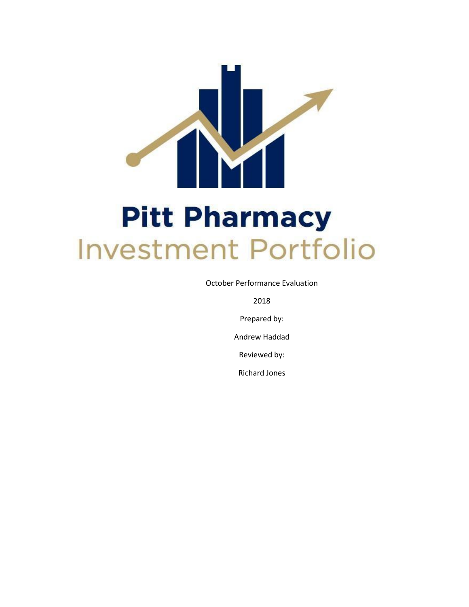

October Performance Evaluation

2018

Prepared by:

Andrew Haddad

Reviewed by:

Richard Jones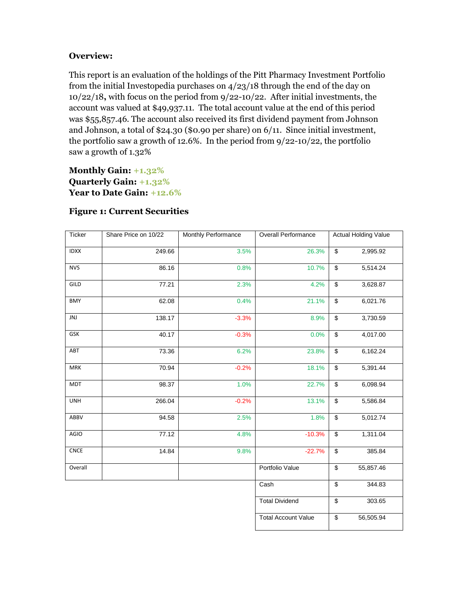# **Overview:**

This report is an evaluation of the holdings of the Pitt Pharmacy Investment Portfolio from the initial Investopedia purchases on 4/23/18 through the end of the day on 10/22/18**,** with focus on the period from 9/22-10/22. After initial investments, the account was valued at \$49,937.11. The total account value at the end of this period was \$55,857.46. The account also received its first dividend payment from Johnson and Johnson, a total of \$24.30 (\$0.90 per share) on 6/11. Since initial investment, the portfolio saw a growth of 12.6%. In the period from  $9/22$ -10/22, the portfolio saw a growth of 1.32%

**Monthly Gain: +1.32% Quarterly Gain: +1.32% Year to Date Gain: +12.6%**

| Ticker                       | Share Price on 10/22 | Monthly Performance | <b>Overall Performance</b> | <b>Actual Holding Value</b> |           |
|------------------------------|----------------------|---------------------|----------------------------|-----------------------------|-----------|
| <b>IDXX</b>                  | 249.66               | 3.5%                | 26.3%                      | \$                          | 2,995.92  |
| <b>NVS</b>                   | 86.16                | 0.8%                | 10.7%                      | \$                          | 5,514.24  |
| GILD                         | 77.21                | 2.3%                | 4.2%                       | \$                          | 3,628.87  |
| <b>BMY</b>                   | 62.08                | 0.4%                | 21.1%                      | $\overline{\mathcal{L}}$    | 6,021.76  |
| JNJ                          | 138.17               | $-3.3%$             | 8.9%                       | \$                          | 3,730.59  |
| GSK                          | 40.17                | $-0.3%$             | 0.0%                       | \$                          | 4,017.00  |
| ABT                          | 73.36                | 6.2%                | 23.8%                      | \$                          | 6,162.24  |
| <b>MRK</b>                   | 70.94                | $-0.2%$             | 18.1%                      | \$                          | 5,391.44  |
| <b>MDT</b>                   | 98.37                | 1.0%                | 22.7%                      | $\boldsymbol{\theta}$       | 6,098.94  |
| <b>UNH</b>                   | 266.04               | $-0.2%$             | 13.1%                      | $\overline{\mathbf{e}}$     | 5,586.84  |
| ABBV                         | 94.58                | 2.5%                | 1.8%                       | $\boldsymbol{\theta}$       | 5,012.74  |
| AGIO                         | 77.12                | 4.8%                | $-10.3%$                   | $\overline{\mathcal{L}}$    | 1,311.04  |
| $\ensuremath{\mathsf{CNCE}}$ | 14.84                | 9.8%                | $-22.7%$                   | \$                          | 385.84    |
| Overall                      |                      |                     | Portfolio Value            | $\overline{\mathcal{S}}$    | 55,857.46 |
|                              |                      |                     | Cash                       | $\overline{\mathbf{e}}$     | 344.83    |
|                              |                      |                     | <b>Total Dividend</b>      | $\overline{\mathcal{E}}$    | 303.65    |
|                              |                      |                     | <b>Total Account Value</b> | $\overline{\mathfrak{s}}$   | 56,505.94 |

# **Figure 1: Current Securities**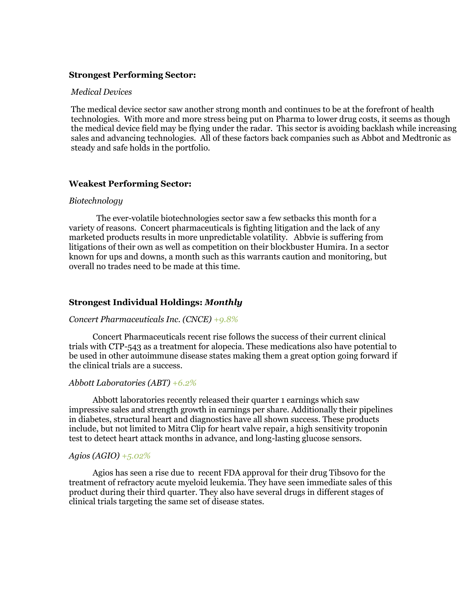#### **Strongest Performing Sector:**

#### *Medical Devices*

The medical device sector saw another strong month and continues to be at the forefront of health technologies. With more and more stress being put on Pharma to lower drug costs, it seems as though the medical device field may be flying under the radar. This sector is avoiding backlash while increasing sales and advancing technologies. All of these factors back companies such as Abbot and Medtronic as steady and safe holds in the portfolio.

#### **Weakest Performing Sector:**

#### *Biotechnology*

The ever-volatile biotechnologies sector saw a few setbacks this month for a variety of reasons. Concert pharmaceuticals is fighting litigation and the lack of any marketed products results in more unpredictable volatility. Abbvie is suffering from litigations of their own as well as competition on their blockbuster Humira. In a sector known for ups and downs, a month such as this warrants caution and monitoring, but overall no trades need to be made at this time.

#### **Strongest Individual Holdings:** *Monthly*

#### *Concert Pharmaceuticals Inc. (CNCE) +9.8%*

Concert Pharmaceuticals recent rise follows the success of their current clinical trials with CTP-543 as a treatment for alopecia. These medications also have potential to be used in other autoimmune disease states making them a great option going forward if the clinical trials are a success.

#### *Abbott Laboratories (ABT) +6.2%*

Abbott laboratories recently released their quarter 1 earnings which saw impressive sales and strength growth in earnings per share. Additionally their pipelines in diabetes, structural heart and diagnostics have all shown success. These products include, but not limited to Mitra Clip for heart valve repair, a high sensitivity troponin test to detect heart attack months in advance, and long-lasting glucose sensors.

### *Agios (AGIO) +5.02%*

Agios has seen a rise due to recent FDA approval for their drug Tibsovo for the treatment of refractory acute myeloid leukemia. They have seen immediate sales of this product during their third quarter. They also have several drugs in different stages of clinical trials targeting the same set of disease states.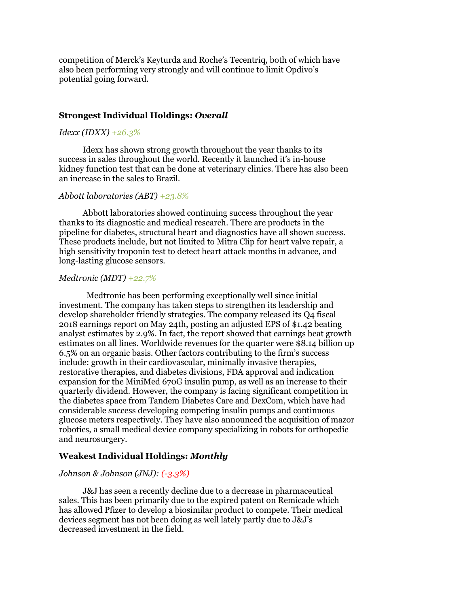competition of Merck's Keyturda and Roche's Tecentriq, both of which have also been performing very strongly and will continue to limit Opdivo's potential going forward.

#### **Strongest Individual Holdings:** *Overall*

## *Idexx (IDXX) +26.3%*

Idexx has shown strong growth throughout the year thanks to its success in sales throughout the world. Recently it launched it's in-house kidney function test that can be done at veterinary clinics. There has also been an increase in the sales to Brazil.

#### *Abbott laboratories (ABT) +23.8%*

Abbott laboratories showed continuing success throughout the year thanks to its diagnostic and medical research. There are products in the pipeline for diabetes, structural heart and diagnostics have all shown success. These products include, but not limited to Mitra Clip for heart valve repair, a high sensitivity troponin test to detect heart attack months in advance, and long-lasting glucose sensors.

### *Medtronic (MDT) +22.7%*

Medtronic has been performing exceptionally well since initial investment. The company has taken steps to strengthen its leadership and develop shareholder friendly strategies. The company released its Q4 fiscal 2018 earnings report on May 24th, posting an adjusted EPS of \$1.42 beating analyst estimates by 2.9%. In fact, the report showed that earnings beat growth estimates on all lines. Worldwide revenues for the quarter were \$8.14 billion up 6.5% on an organic basis. Other factors contributing to the firm's success include: growth in their cardiovascular, minimally invasive therapies, restorative therapies, and diabetes divisions, FDA approval and indication expansion for the MiniMed 670G insulin pump, as well as an increase to their quarterly dividend. However, the company is facing significant competition in the diabetes space from Tandem Diabetes Care and DexCom, which have had considerable success developing competing insulin pumps and continuous glucose meters respectively. They have also announced the acquisition of mazor robotics, a small medical device company specializing in robots for orthopedic and neurosurgery.

### **Weakest Individual Holdings:** *Monthly*

#### *Johnson & Johnson (JNJ): (-3.3%)*

J&J has seen a recently decline due to a decrease in pharmaceutical sales. This has been primarily due to the expired patent on Remicade which has allowed Pfizer to develop a biosimilar product to compete. Their medical devices segment has not been doing as well lately partly due to J&J's decreased investment in the field.